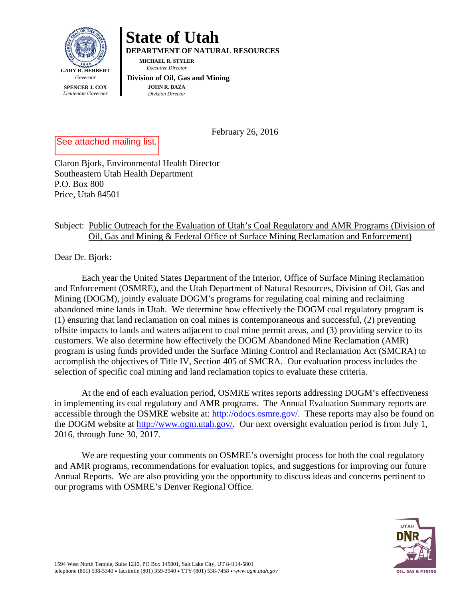

## **State of Utah**

**DEPARTMENT OF NATURAL RESOURCES** 

**MICHAEL R. STYLER**   *Executive Director* 

## **Division of Oil, Gas and Mining JOHN R. BAZA**

*Division Director*

February 26, 2016

See attached mailing list.

Claron Bjork, Environmental Health Director Southeastern Utah Health Department P.O. Box 800 Price, Utah 84501

## Subject: Public Outreach for the Evaluation of Utah's Coal Regulatory and AMR Programs (Division of Oil, Gas and Mining & Federal Office of Surface Mining Reclamation and Enforcement)

Dear Dr. Bjork:

Each year the United States Department of the Interior, Office of Surface Mining Reclamation and Enforcement (OSMRE), and the Utah Department of Natural Resources, Division of Oil, Gas and Mining (DOGM), jointly evaluate DOGM's programs for regulating coal mining and reclaiming abandoned mine lands in Utah. We determine how effectively the DOGM coal regulatory program is (1) ensuring that land reclamation on coal mines is contemporaneous and successful, (2) preventing offsite impacts to lands and waters adjacent to coal mine permit areas, and (3) providing service to its customers. We also determine how effectively the DOGM Abandoned Mine Reclamation (AMR) program is using funds provided under the Surface Mining Control and Reclamation Act (SMCRA) to accomplish the objectives of Title IV, Section 405 of SMCRA. Our evaluation process includes the selection of specific coal mining and land reclamation topics to evaluate these criteria.

At the end of each evaluation period, OSMRE writes reports addressing DOGM's effectiveness in implementing its coal regulatory and AMR programs. The Annual Evaluation Summary reports are accessible through the OSMRE website at: http://odocs.osmre.gov/. These reports may also be found on the DOGM website at http://www.ogm.utah.gov/. Our next oversight evaluation period is from July 1, 2016, through June 30, 2017.

We are requesting your comments on OSMRE's oversight process for both the coal regulatory and AMR programs, recommendations for evaluation topics, and suggestions for improving our future Annual Reports. We are also providing you the opportunity to discuss ideas and concerns pertinent to our programs with OSMRE's Denver Regional Office.

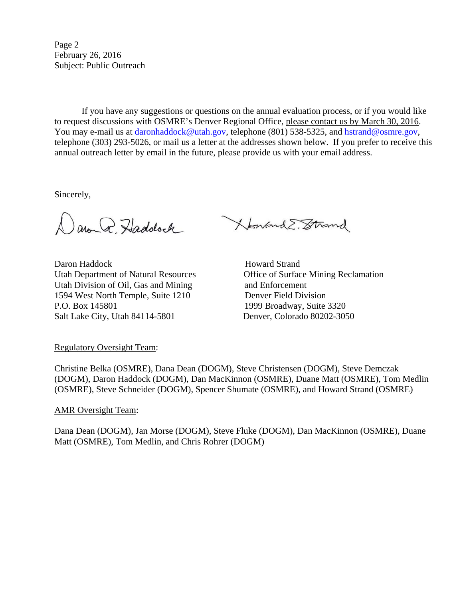Page 2 February 26, 2016 Subject: Public Outreach

If you have any suggestions or questions on the annual evaluation process, or if you would like to request discussions with OSMRE's Denver Regional Office, please contact us by March 30, 2016. You may e-mail us at daronhaddock@utah.gov, telephone (801) 538-5325, and hstrand@osmre.gov, telephone (303) 293-5026, or mail us a letter at the addresses shown below. If you prefer to receive this annual outreach letter by email in the future, please provide us with your email address.

Sincerely,

aron Q. Haddock

Daron Haddock Howard Strand Utah Department of Natural Resources Office of Surface Mining Reclamation Utah Division of Oil, Gas and Mining and Enforcement 1594 West North Temple, Suite 1210 Denver Field Division P.O. Box 145801 1999 Broadway, Suite 3320 Salt Lake City, Utah 84114-5801 Denver, Colorado 80202-3050

XtonandE. Strand

Regulatory Oversight Team:

Christine Belka (OSMRE), Dana Dean (DOGM), Steve Christensen (DOGM), Steve Demczak (DOGM), Daron Haddock (DOGM), Dan MacKinnon (OSMRE), Duane Matt (OSMRE), Tom Medlin (OSMRE), Steve Schneider (DOGM), Spencer Shumate (OSMRE), and Howard Strand (OSMRE)

## AMR Oversight Team:

Dana Dean (DOGM), Jan Morse (DOGM), Steve Fluke (DOGM), Dan MacKinnon (OSMRE), Duane Matt (OSMRE), Tom Medlin, and Chris Rohrer (DOGM)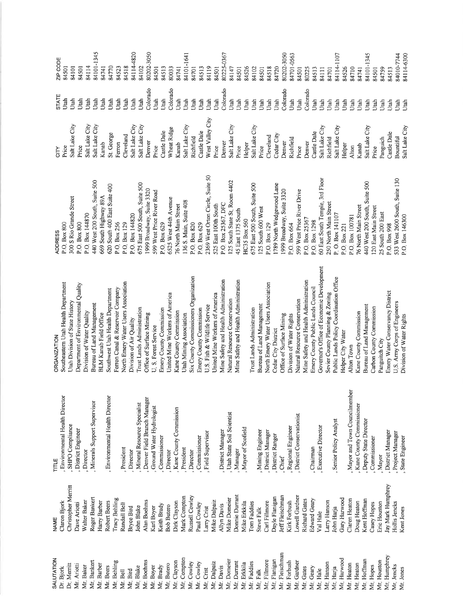| CITY<br>Price                                                                                | STATE<br>Utah    | ZIP CODE<br>84501                          |
|----------------------------------------------------------------------------------------------|------------------|--------------------------------------------|
| Salt Lake City                                                                               | Utah             | 84101                                      |
| Price                                                                                        | Utah             | 84501                                      |
| Salt Lake City<br>Salt Lake City<br>Salt Lake City                                           | Utah             |                                            |
|                                                                                              | Utah<br>Utah     | 84114<br>84101-1345<br>84741               |
| Kanab                                                                                        |                  |                                            |
| St. George                                                                                   | Utah             | 84770<br>84523<br>84518<br>84114-<br>84102 |
| Ferron                                                                                       | Utah             |                                            |
| Cleveland                                                                                    | Utah             |                                            |
| Salt Lake City<br>Salt Lake City                                                             | Utah<br>Utah     | 4820                                       |
|                                                                                              |                  |                                            |
| Denver                                                                                       | Colora           | 3050<br>80202-                             |
| Price                                                                                        | Utah             | 84501                                      |
| Castle Dale<br>Wheat Ridge                                                                   | Utah             | 84513<br>80033                             |
|                                                                                              | Colora           |                                            |
|                                                                                              | Utah             | 84741                                      |
| Kanab<br>Salt Lake City<br>Richfield                                                         | Utah             | 84101-1641<br>84701                        |
|                                                                                              | Utah             |                                            |
|                                                                                              | Utah             | 84513<br>84119                             |
|                                                                                              | Utah             |                                            |
| Castle Dale<br>West Valley (<br>Price                                                        | Utah             | 84501<br>80225-0367<br>84147               |
|                                                                                              | Colorado<br>Utah |                                            |
|                                                                                              |                  |                                            |
|                                                                                              | Utah             | 84501<br>84526                             |
|                                                                                              | Utah             |                                            |
| rince<br>Denver<br>Sait Lake City<br>Price<br>Helper<br>Sait Lake City<br>Price<br>Cleveland | Utah             | 84102<br>84501                             |
|                                                                                              | Utah<br>Utah     |                                            |
|                                                                                              |                  | 84518                                      |
| Cedar City                                                                                   | Utah             | 84720                                      |
| Denver<br>Richfield                                                                          | Colorado         | 80202-3050                                 |
|                                                                                              | Utah             | 84701-0563                                 |
| Price                                                                                        | Utah             | 84501<br>80225                             |
| Denver<br>Castle Dale<br>Salt Lake City<br>Richfield<br>Salt Lake City                       | Colorado         |                                            |
|                                                                                              | Utah             | 84513<br>84111                             |
|                                                                                              | Utah             |                                            |
|                                                                                              | Utah             | 84701<br>84114-11                          |
|                                                                                              | Utah             | 107                                        |
| Helper                                                                                       | Utah             | 84526                                      |
| Alton                                                                                        | Utah             | 84710                                      |
|                                                                                              | Utah             | 84741                                      |
| $\begin{array}{ll} \text{Kanab} \\ \text{Salt Lake City} \end{array}$                        | Utah             | 84101-1345                                 |
| Price                                                                                        | Utah             | 84501                                      |
| Panguich                                                                                     | Utah             | 84759<br>84513                             |
| Castle Dale                                                                                  | Utah             |                                            |
| Bountiful<br>Salt Lake City                                                                  | Utah<br>Utah     | 84010-7744<br>84114-6300                   |
|                                                                                              |                  |                                            |

| S Rio Grande Street<br><b>Box 800</b><br><b>ADDRESS</b><br>$\overrightarrow{O}$<br>300<br>ച |
|---------------------------------------------------------------------------------------------|
| <b>Box 800</b><br>P.O.                                                                      |
| 144870<br>Box<br>P.O.                                                                       |
| West 200 South, Suite 500<br>440                                                            |
| South 400 East Suite 400<br>South Highway 89A<br>620<br>669                                 |
| Box 256<br>P.O.                                                                             |
| $_{\mbox{\footnotesize{Box}}}$<br>$\overline{O}$<br>r.                                      |
| 129<br>144820<br>Box<br>$\circ$<br>تم                                                       |
| 500<br>East 500 South, Suite<br>675                                                         |
| 3320<br>Suite<br>1999 Broadway,                                                             |
| West Price River Road<br>Box 629<br>Ο.<br>Α<br>599                                          |
| 6525 West 44th Avenue                                                                       |
| 76 North Main Street                                                                        |
| Suite 408<br>Main,<br>136 S.                                                                |
| Box 820<br>P.O.                                                                             |
| Box 629<br>$\overline{O}$<br>்                                                              |
| West Orton Circle, Suite<br>2369                                                            |
| 525 East 100th South                                                                        |
| DFC<br>P.O. Box 25367, DF<br>125 South State St. 1                                          |
| 4402<br>Room                                                                                |
| 1375 South<br>East<br>45                                                                    |
| HC35 Box 560                                                                                |
| 675 East 500 South, Suite 500                                                               |
| 125 South 600 West<br>Box 129<br>P.O.                                                       |
| ane<br>1789 North Wedgewood L                                                               |
| 3320<br>1999 Broadway, Suite                                                                |
| Box 664<br>P.O.                                                                             |
| West Price River Drive<br>599                                                               |
| P.O. Box 25367                                                                              |
| Box 1298<br>PO.                                                                             |
| 3rd Floor<br>60 East South Temple,<br>250 North Main Street                                 |
| 141107<br>$O.$ Box<br>$\mathbf{a}_i^*$                                                      |
| 221<br>P.O. Box.                                                                            |
| P.O. Box 100781                                                                             |
| 76 North Main Street                                                                        |
| င္တ<br>Suite<br>440 West 200 South,                                                         |
| Street<br>120 East Main                                                                     |
| South 200 East<br>25                                                                        |
| 998<br>Box <sup>1</sup><br>$\overrightarrow{O}$<br>نم                                       |
| 533 West 2600 South, Suite 130<br>P.O. Box 146300                                           |
|                                                                                             |

Mayor and Town Councilmember Environmental Health Director Environmental Health Director Denver Field Branch Manager Minerals Support Supervisor Mineral Resource Specialist Kane County Commissioner Ground Water Hydrologist Kane County Commission Utah State Soil Scientist District Conservationist Senior Policy Analyst Deputy State Director SHPO Compliance Regional Engineer **Executive Director** Mayor of Scofield District Engineer Mining Engineer District Manager District Manager District Manager Field Supervisor Project Manager District Ranger Commissioner State Engineer Commissioner Commissioner President President Chairman , Manager Director Director Director Director Mayor, Chief TITLE

Jay Mark Humphrey Christopher Merritt Richard Gates<br>Edward Geary Mark Compton Russell Cowley Donnie Durrant Dayle Flanigan Jeff Fleischman Lowell Gardner Roger Bankert Gary Harwood Tracy Behling Mike Domeier Claren Heaton Walter Baker Robert Beers Mike Dalpaiz Mike Erkkila Carl Fillmore Kent Hoffman Harry Barber Alan Boehms Dirk Clayson Kirk Forbush Larry Hanson Doug Heaton Eric Houston Claron Bjork Tom Faddies Hollis Jencks Dave Ariotti Randall Bell Casey Hopes Keith Brady Paul Cowley Allyn Davis **Bob Butero** John Blake Karl Boyer **Bryce Bird** Larry Crist John Harja Steve Falk Kent Jones Val Hale **NAME** 

Mr. Fleischman Mr. Humphrey Mr. Compton SALUTATION Mr. Boehms Mr. Domeier Mr. Flanigan Mr. Harwood Mr. Hoffman Mr. Houston Mr. Bankert Mr. Clayson Mr. Forbush Mr. Durrant Mr. Fillmore Mr, Gardner Mr, Behling Mr. Dalpaiz Mr. Faddies Mr. Cowley Mr. Cowley Mr. Erkkila Mr. Hanson Mr. Heaton Mr. Heaton Mr. Barber Mr. Butero Dr. Merritt Mr. Ariotti Mr. Boyer Mr. Hopes Mr. Jencks Mr. Baker Mr. Beers Mr Blake Mr. Bird Mr. Brady Mr. Davis Mr, Gates Mr. Geary Dr. Bjork Mr. Crist Мг, Нагја Mr. Jones Mr. Bell Mr. Falk Mr, Hale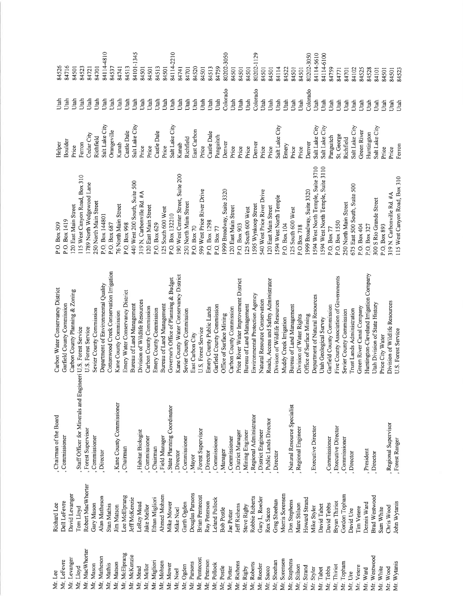| Mr. Lee        | Richard Lee            | Chairman of the Board                                          | Carbon Water Conservancy District        | P.O. Box 509                       | Helper             | Utah     |
|----------------|------------------------|----------------------------------------------------------------|------------------------------------------|------------------------------------|--------------------|----------|
| Mr. LeFevre    | Dell LeFevre           | , Commissioner                                                 | Garfield County Commission               | P.O. Box 1419                      | Boulder            | Utah     |
| Mr. Levanger   | David Levanger         |                                                                | Carbon County Planning & Zoning          | 120 East Main Street               | Price              | Utah     |
| Mr. Lloyd      | Tom Lloyd              | , Staff Officer for Minerals and Engineeri U.S. Forest Service |                                          | 115 West Canyon Road, Box 310      | Ferron             | Utah     |
| Mr. MacWhorter | Robert MacWhorter      | , Forest Supervisor                                            | U.S. Forest Service                      | 1789 North Wedgewood Lane          | Cedar City         | Utah     |
| Mr. Mason      | Gary Mason             | , Commissioner                                                 | Sevier County Commission                 | 250 North Main Street              | Richfield          | Utah     |
| Mr, Matheson   | Alan Matheson          | , Director                                                     | Department of Environmental Quality      | P.O. Box 144801                    | Salt Lake City     | Utah     |
| Mr. Mathis     | Stan Mathis            |                                                                | Cottonwood Creek Conservation Irrigation | P.O. Box 687                       | Orangeville        | Utah     |
| Mr. Matson     | Jim Matson             | , Kane County Commissioner                                     | Kane County Commission                   | 76 North Main Street               | Kanab              | Utah     |
| Mr. McElprang  | Lee McElprang          | , Chairman                                                     | Emery Water Conservancy District         | P.O. Box 998                       | Castle Dale        | Utah     |
| Mr. McKenzie   | Jeff McKenzie          |                                                                | Bureau of Land Management                | 440 West 200 South, Suite 500      | Salt Lake City     | Utah     |
| Mr. Mead       | LeRoy Mead             | Habitat Biologist                                              | Division of Wildlife Resources           | 319 N. Carbonville Rd. #A          | Price              | Utah     |
| Mr Mellor      | lake Mellor            | , Commissioner                                                 | Carbon County Commission                 | 120 East Main Street               | Price              | Utah     |
| Mr. Migliori   | Ethan Migliori         | Chairman                                                       | Emery County Commission                  | P.O. Box 629                       | Castle Dale        | Utah     |
| Mr. Mohsen     | Ahmed Mohsen           | Field Manager                                                  | Bureau of Land Management                | 125 South 600 West                 | Price              | Utah     |
| Mr. Mower      | Mike Mower             | State Planning Coordinator                                     | Governor's Office of Planning & Budget   | P.O. Box 132210                    | Salt Lake City     | Utah     |
| Mr. Noel       | Mike Noel              | Director                                                       | Kane County Water Conservancy District   | 190 West Center Street, Suite 200  | Kanab              | Utah     |
| Mr Ogden       | Garth Ogden            | , Commissioner                                                 | Sevier County Commission                 | 250 North Main Street              | Richfield          | Utah     |
| Mr. Parsons    | Douglas Parsons        | Mayor                                                          | East Carbon City                         | P.O. Box 70                        | East Carbon        | Utah     |
| Mr. Pentecost  | <b>Brian Pentecost</b> | , Forest Supervisor                                            | U.S. Forest Service                      | 599 West Price River Drive         | Price              | Utah     |
| Mr. Peterson   | Ray Peterson           | , Director                                                     | Emery County Public Lands                | P.O. Box 1298                      | Castle Dale        | Utah     |
| Mr. Pollock    | Leland Pollock         | , Commissioner                                                 | Garfield County Commission               | P.O. Box 77                        | Panguitch          | Utah     |
| Mr. Postle     | <b>Bob Postle</b>      | , Manager                                                      | Office of Surface Mining                 | 1999 Broadway, Suite 3320          | Denver             | Colorado |
| Mr Potter      | Jae Potter             | , Commissioner                                                 | Carbon County Commission                 | 120 East Main Street               | Price              | Utah     |
| Mr. Richens    | Jeff Richens           | , District Manager                                             | Price River Water Improvement District   | P.O. Box 903                       | Price              | Utah     |
| Mr. Rigby      | Steve Rigby            | , Mining Engineer                                              | Bureau of Land Management                | 125 South 600 West                 | Price              | Utah     |
| Mr. Roberts    | Robbie Roberts         | , Regional Administrator                                       | Environmental Protection Agency          | 1595 Wynkoop Street                | Denver             | Colorado |
| Mr. Roeder     | Gary L. Roeder         | , District Engineer                                            | Natural Resource Conservation            | 540 West Price River Drive         | Price              | Utah     |
| Mr Sacco       | Rex Sacco              | Public Lands Director                                          | Roads, Access and Safety Administrator   | 120 East Main Street               | Price              | Utah     |
| Mr. Sheehan    | Greg Sheehan           | Director                                                       | Division of Wildlife Resources           | 1594 West North Temple             | Salt Lake City     | Utah     |
| Mr. Sorensen   | Morris Sorensen        |                                                                | Muddy Creek Irrigation                   | P.O. Box 104                       | Emery              | Utah     |
| Mr. Stephens   | Don Stephens           | , Natural Resource Specialist                                  | Bureau of Land Management                | 125 South 600 West                 | Price              | Utah     |
| Mr. Stilson    | Marc Stilson           | , Regional Engineer                                            | Division of Water Rights                 | POB <sub>ox</sub> 718              | Price              | Utah     |
| Mr. Strand     | Howard Strand          |                                                                | Office of Surface Mining                 | 1999 Broadway, Suite 3320          | Denver             | Colorado |
| Mr. Styler     | Mike Styler            | , Executive Director                                           | Department of Natural Resources          | 1594 West North Temple, Suite 3710 | Salt Lake City     | Utah     |
| Mr. Tabet      | David Tabet            |                                                                | Utah Geological Survey                   | 594 West North Temple, Suite 3110  | Salt Lake City     | Utah     |
| Mr. Tebbs      | David Tebbs            | Commissioner                                                   | Garfield County Commission               | P.O. Box 77                        | Panguitch          | Utah     |
| Mr. Thiriot    | Bryan Thiriot          | <b>Executive Director</b>                                      | Five County Association of Governments   | P.O. Box 1550                      | St. George         | Utah     |
| Mr. Topham     | Gordon Topham          | Commissioner                                                   | Sevier County Commission                 | 250 North Main Street              | Richfield          | Utah     |
| Mr. Ure        | David Ure              | , Director                                                     | <b>Trust Lands Administration</b>        | 675 East 500 South, Suite 500      | Salt Lake City     | Utah     |
| Mr. Vetere     | Tim Vetere             |                                                                | Green River Canal Company                | P.O. Box 404                       | <b>Green River</b> | Utah     |
| Mr. Ward       | Dennis Ward            | , President                                                    | Huntington-Cleveland Irrigation Company  | P.O. Box 327                       | Huntington         | Utah     |
| Mr. Westwood   | <b>Brad Westwood</b>   | , Director                                                     | Utah Division of State History           | 300 S Rio Grande Street            | Salt Lake City     | Utah     |
| Mr. White      | Sam White              |                                                                | Price City Water                         | P.O. Box 893                       | Price              | Utah     |
| Mr. Wood       | Chris Wood             | , Regional Supervisor                                          | Division of Wildlife Resources           | 319 N. Carbonville Rd. #A          | Price              | Utah     |
| Mr Wytanis     | John Wytanis           | Forest Ranger                                                  | U.S. Forest Service                      | 115 West Canyon Road, Box 310      | Ferron             | Utah     |

 $\begin{array}{l} 3450 \\ 3471 \\ 3471 \\ 4471 \\ 5431 \\ 5451 \\ 6471 \\ 6471 \\ 6471 \\ 6471 \\ 6471 \\ 6471 \\ 6471 \\ 6471 \\ 6471 \\ 6471 \\ 6471 \\ 6471 \\ 6471 \\ 6471 \\ 6471 \\ 6471 \\ 6471 \\ 6471 \\ 6471 \\ 6471 \\ 6471 \\ 6471 \\ 6471 \\ 6471 \\ 6471 \\ 6471 \\ 6471 \\ 6471 \\ 6471 \\ 64$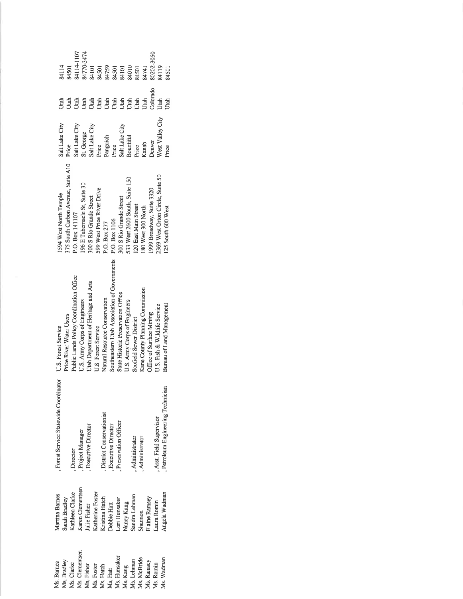| 84114-1107<br>84770-3474<br>80202-3050<br>84114<br>84759<br>84010<br>84119<br>84501<br>84101<br>84101<br>84501<br>84501<br>84501<br>84741<br>34501<br>Colorado<br>Jtah<br>Utah<br>Utah<br><b>Jtah</b><br>Utah<br>Jtah<br>Jtah<br>Utah<br>Utah<br>Utah<br>Utah<br>Utah<br>Utah<br>Jiah                                                                                                                                                                                                                  |  |
|--------------------------------------------------------------------------------------------------------------------------------------------------------------------------------------------------------------------------------------------------------------------------------------------------------------------------------------------------------------------------------------------------------------------------------------------------------------------------------------------------------|--|
| West Valley City<br>Salt Lake City<br>Salt Lake City<br>Salt Lake City<br>Salt Lake City<br>St. George<br>Panguich<br>Bountiful<br>Denver<br>Kanab<br>Price<br>Price<br>Price<br>Price<br>Price                                                                                                                                                                                                                                                                                                        |  |
| 375 South Carbon Avenue, Suite A10<br>2369 West Orton Circle, Suite 50<br>533 West 2600 South, Suite 150<br>196 E Tabernacle St, Suite 30<br>599 West Price River Drive<br>1999 Broadway, Suite 3320<br>1594 West North Temple<br>300 S Rio Grande Street<br>300 S Rio Grande Street<br>120 East Main Street<br>180 West 300 North<br>125 South 600 West<br>P.O. Box 141107<br>P.O. Box 1106<br>P.O. Box 277                                                                                           |  |
| Southeastern Utah Association of Governments<br>Public Lands Policy Coordination Office<br>Utah Department of Heritage and Arts<br>Kane County Planning Commission<br>State Historic Preservation Office<br>Natural Resource Conservation<br>U.S. Army Corps of Engineers<br>U.S. Army Corps of Engineers<br>Bureau of Land Management<br>U.S. Fish & Wildlife Service<br>Office of Surface Mining<br>Price River Water Users<br>Scofield Sewer District<br>U.S. Forest Service<br>U.S. Forest Service |  |
| Forest Service Statewide Coordinator<br>Petroleum Engineering Technician<br>District Conservationist<br>Asst. Field Supervisor<br>Preservation Officer<br>Executive Director<br><b>Executive Director</b><br>Project Manager<br>Administrator<br>Administrator<br>Director                                                                                                                                                                                                                             |  |
| Karen Clementsen<br>Kathleen Clarke<br>Katherine Foster<br>Angela Wadman<br>Martina Barnes<br>Sandra Lehman<br>Kristina Hatch<br>Elaine Ramsey<br>Sarah Bradley<br>Lori Hunsaker<br>Nancy Kang<br>aura Romin<br>Debbie Hatt<br>Julie Fisher<br>Shannon                                                                                                                                                                                                                                                 |  |
| Ms. Clementsen<br>Ms. Hunsaker<br>Ms. McBride<br>Ms. Wadman<br>Ms. Bradley<br>Ms. Lehman<br>Ms. Ramsey<br>Ms. Barnes<br>Ms. Clarke<br>Ms. Romin<br>Ms, Fisher<br>Ms. Kang<br>Ms. Foster<br>Ms. Hatch<br>Ms. Hatt                                                                                                                                                                                                                                                                                       |  |